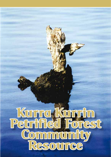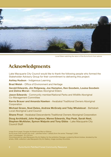

Local Elders watching the return of the *Kurra Kurrin* from ashore

### Acknowledgments

Lake Macquarie City Council would like to thank the following people who formed the Stakeholder Advisory Group for their commitment to delivering this project:

Ashley Hudson - Indigenous Learning

Brad Welsh - Office of Environment and Heritage

Gerald Edwards, Jim Ridgeway, Joe Hampton, Ken Goodwin, Louisa Goodwin and Zelma Moran - Westlakes Aboriginal Elders

**Jason Edwards** - Community member/National Parks and Wildlife Aboriginal Co-Management Committee

Kerrie Brauer and Amanda Hawken - Awabakal Traditional Owners Aboriginal Corporation

Michael Green, Noel Dates, Andrew McGrady and Toby Whaleboat - Bahtabah Local Aboriginal Land Council

Shane Frost - Awabakal Descendents Traditional Owners Aboriginal Corporation

Doug Archibald, John Hughson, Maree Edwards, Ray Peak, Sarah Neal, Stephen McAlister, Symon Walpole and Tony Gibbs - Lake Macquarie City Council Staff

Image (front page): Douglas Archibald and Mervyn Bishop

*Kurra-kuran (men turned into rock) – petrified forest 1* (detail) (from the series "Passage") 2004 type C photograph, 76 x 50.5cm

Commissioned by Lake Macquarie City Art Gallery for the exhibition *Passage*, curated by Brook Andrew, donated by the artists, 2008, collection Lake Macquarie City Art Gallery, image courtesy the artists.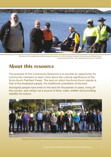

Members of the stakeholder advisory group including: (L to R) Uncle Ken Goodwin, Kerrie Brauer, Michael Green, Uncle Gerald Edwards, Toby Whaleboat and Symon Walpole.

#### About this resource

The purpose of this Community Resource is to provide an opportunity for community members to learn more about the cultural significance of the *Kurra Kurrin* Petrified Forest. The land on which the *Kurra Kurrin* stands is that of the Awabakal people, the traditional custodians of the land.

Aboriginal people have lived on the land for thousands of years, living off the country, and using it as a source of food, water, shelter and providing stability for culture.



Members of the stakeholder advisory group and individuals that assisted with the repatriation of the artefacts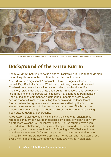

The artefacts being catalogued and recorded for the Aboriginal Heritage Information Management System register

## Background of the Kurra Kurrin

The *Kurra Kurrin* petrified forest is a site at Blackalls Park NSW that holds high cultural significance to the traditional custodians of the area.

*Kurru Kurrin* is a significant Aboriginal cultural heritage site located in Fennell Bay, Blackalls Park NSW. A local missionary Reverend Lancelot Threlkeld documented a traditional story relating to the site in 1834. The story relates that people had angered 'an immense iguana' by roasting lice in the fire and the people were speared ' by a long reed from heaven'. The 'iguana' then commanded a gathering of people at *Kurra Kurrin*. A large stone fell from the sky, killing the people and the fossil forest formed. When the 'iguana' saw all the men were killed by the fall of the stone, he ascended up into heaven, where he remains. This is just one dreamtime story relating to the Petrified Forest, with other stories having been passed down by generations.

*Kurra Kurrin* is also geologically significant, the site of an ancient pine forest, it is thought to have been fossilised by a blast of volcanic ash from an off shore volcano 250 million years ago. The tree stumps have been converted into chalcedony, many with clearly visible and well preserved growth rings and wood structure. In 1845 geologist WB Clarke estimated that there were at least 500 tree stumps, both in the water and along the banks. Some of the stumps were up to 1.2 metres tall, one large stump rose over a metre above the water and was nearly two metres in diameter.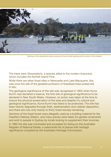

Members of the stakeholder advisory group and Council staff assisting with the return of the artefacts

The trees were Glossopteris, a species allied to the modern Araucaria, which includes the Norfolk Island Pine.

While there are other fossil sites in Newcastle and Lake Macquarie, this was once the site of the greatest profusion of fossilised trees preserved in situ.

The geological significance of the site was recognised in 1904 when *Kurra Kurrin* was declared a reserve, the first site of geological significance to be declared in New South Wales. However, no action was taken at the time to ensure the physical preservation of the area and despite it's cultural and geological significance, *Kurra Kurrin* has failed to be protected. The site has been heavily degraded through theft, sedimentation and rubbish deposition, and there are now only twenty to thirty fossil stumps remaining.

Sections of the fossil forest were allegedly used as a building material for the Fassifern Railway Station, and many pieces were taken for garden ornaments and sold to people in Sydney by locals looking to supplement their incomes.

In 1982 the site was nominated and accepted for listing on the Australian Register of National Estate, a nationwide list of places with heritage significance compiled by the Australian Heritage Commission.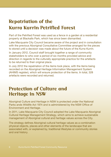# Repatriation of the Kurra Kurrin Petrified Forest

Part of the Petrified Forest was used as a fence in a garden at a residential property at Blackalls Park, which has since been dismantled.

Lake Macquarie City Council became aware of the project and in consultation with the previous Aboriginal Consultative Committee arranged for the pieces to stored until a decision was made about the future of the *Kurra Kurrin*.

In January 2012, Council staff brought together a range of community stakeholders to who over a period of six months provided advice and direction in regards to the culturally appropriate practice for the artefacts to be returned to their original place.

In July 2012 the repatriation of the items took place, with the items being recorded on the Aboriginal Heritage Information Management System (AHIMS register), which will ensure protection of the items. In total, 328 artefacts were recorded and returned.

### Protection of Culture and Heritage in NSW

Aboriginal Culture and Heritage in NSW is protected under the National Parks ands Wildlife Act 1974 and is administered by the NSW Office of Environment and Heritage.

In 2011, Lake Macquarie City Council adopted the Lake Macquarie Aboriginal Cultural Heritage Management Strategy, which aims to achieve sustainable management of Aboriginal cultural and heritage values across the City.

The strategy defines Aboriginal cultural heritage values as a combination physical objects, places and other elements of the landscape that are associated with, or explained by, traditional lifestyles or community stories and oral history.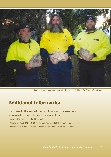

Council staff on the day of the repatriation (L to R) Doug Archibald, Ray Peak and Tony Gibbs.

## Additional Information

If you would like any additional information, please contact:. Aboriginal Community Development Officer Lake Macquarie City Council Phone (02) 4921 0333 or email council@lakemac.nsw.gov.au Please note this information contained in this resource is correct a time of printing, August 2012.